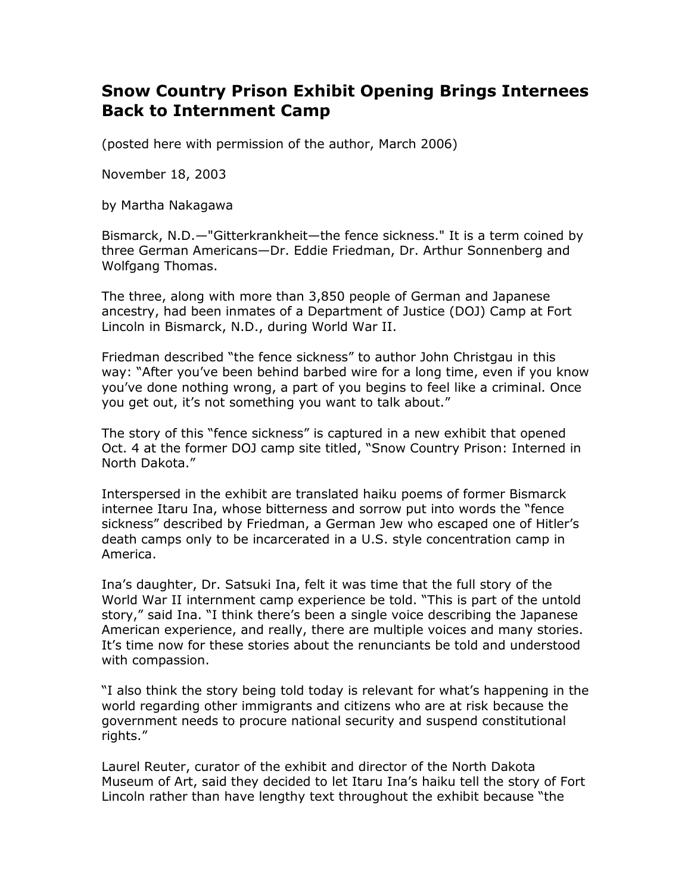## **Snow Country Prison Exhibit Opening Brings Internees Back to Internment Camp**

(posted here with permission of the author, March 2006)

November 18, 2003

by Martha Nakagawa

Bismarck, N.D.—"Gitterkrankheit—the fence sickness." It is a term coined by three German Americans—Dr. Eddie Friedman, Dr. Arthur Sonnenberg and Wolfgang Thomas.

The three, along with more than 3,850 people of German and Japanese ancestry, had been inmates of a Department of Justice (DOJ) Camp at Fort Lincoln in Bismarck, N.D., during World War II.

Friedman described "the fence sickness" to author John Christgau in this way: "After you've been behind barbed wire for a long time, even if you know you've done nothing wrong, a part of you begins to feel like a criminal. Once you get out, it's not something you want to talk about."

The story of this "fence sickness" is captured in a new exhibit that opened Oct. 4 at the former DOJ camp site titled, "Snow Country Prison: Interned in North Dakota."

Interspersed in the exhibit are translated haiku poems of former Bismarck internee Itaru Ina, whose bitterness and sorrow put into words the "fence sickness" described by Friedman, a German Jew who escaped one of Hitler's death camps only to be incarcerated in a U.S. style concentration camp in America.

Ina's daughter, Dr. Satsuki Ina, felt it was time that the full story of the World War II internment camp experience be told. "This is part of the untold story," said Ina. "I think there's been a single voice describing the Japanese American experience, and really, there are multiple voices and many stories. It's time now for these stories about the renunciants be told and understood with compassion.

"I also think the story being told today is relevant for what's happening in the world regarding other immigrants and citizens who are at risk because the government needs to procure national security and suspend constitutional rights."

Laurel Reuter, curator of the exhibit and director of the North Dakota Museum of Art, said they decided to let Itaru Ina's haiku tell the story of Fort Lincoln rather than have lengthy text throughout the exhibit because "the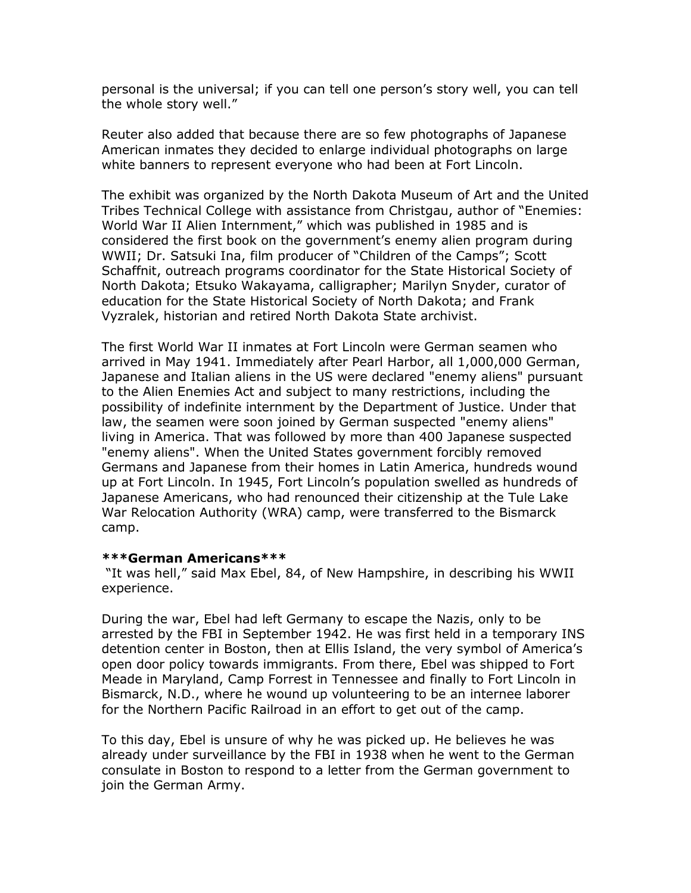personal is the universal; if you can tell one person's story well, you can tell the whole story well."

Reuter also added that because there are so few photographs of Japanese American inmates they decided to enlarge individual photographs on large white banners to represent everyone who had been at Fort Lincoln.

The exhibit was organized by the North Dakota Museum of Art and the United Tribes Technical College with assistance from Christgau, author of "Enemies: World War II Alien Internment," which was published in 1985 and is considered the first book on the government's enemy alien program during WWII; Dr. Satsuki Ina, film producer of "Children of the Camps"; Scott Schaffnit, outreach programs coordinator for the State Historical Society of North Dakota; Etsuko Wakayama, calligrapher; Marilyn Snyder, curator of education for the State Historical Society of North Dakota; and Frank Vyzralek, historian and retired North Dakota State archivist.

The first World War II inmates at Fort Lincoln were German seamen who arrived in May 1941. Immediately after Pearl Harbor, all 1,000,000 German, Japanese and Italian aliens in the US were declared "enemy aliens" pursuant to the Alien Enemies Act and subject to many restrictions, including the possibility of indefinite internment by the Department of Justice. Under that law, the seamen were soon joined by German suspected "enemy aliens" living in America. That was followed by more than 400 Japanese suspected "enemy aliens". When the United States government forcibly removed Germans and Japanese from their homes in Latin America, hundreds wound up at Fort Lincoln. In 1945, Fort Lincoln's population swelled as hundreds of Japanese Americans, who had renounced their citizenship at the Tule Lake War Relocation Authority (WRA) camp, were transferred to the Bismarck camp.

## **\*\*\*German Americans\*\*\***

 "It was hell," said Max Ebel, 84, of New Hampshire, in describing his WWII experience.

During the war, Ebel had left Germany to escape the Nazis, only to be arrested by the FBI in September 1942. He was first held in a temporary INS detention center in Boston, then at Ellis Island, the very symbol of America's open door policy towards immigrants. From there, Ebel was shipped to Fort Meade in Maryland, Camp Forrest in Tennessee and finally to Fort Lincoln in Bismarck, N.D., where he wound up volunteering to be an internee laborer for the Northern Pacific Railroad in an effort to get out of the camp.

To this day, Ebel is unsure of why he was picked up. He believes he was already under surveillance by the FBI in 1938 when he went to the German consulate in Boston to respond to a letter from the German government to join the German Army.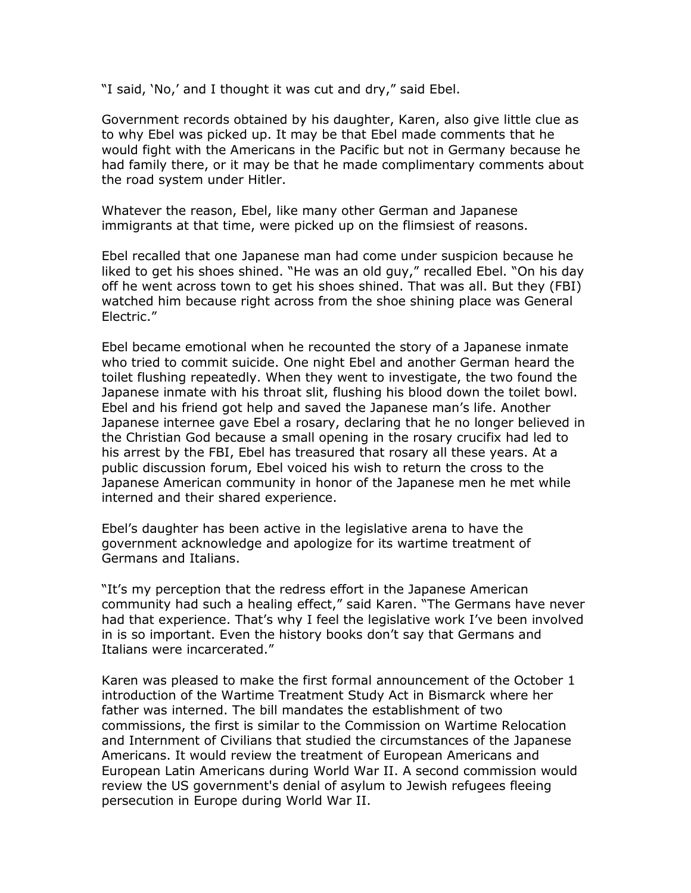"I said, 'No,' and I thought it was cut and dry," said Ebel.

Government records obtained by his daughter, Karen, also give little clue as to why Ebel was picked up. It may be that Ebel made comments that he would fight with the Americans in the Pacific but not in Germany because he had family there, or it may be that he made complimentary comments about the road system under Hitler.

Whatever the reason, Ebel, like many other German and Japanese immigrants at that time, were picked up on the flimsiest of reasons.

Ebel recalled that one Japanese man had come under suspicion because he liked to get his shoes shined. "He was an old guy," recalled Ebel. "On his day off he went across town to get his shoes shined. That was all. But they (FBI) watched him because right across from the shoe shining place was General Electric."

Ebel became emotional when he recounted the story of a Japanese inmate who tried to commit suicide. One night Ebel and another German heard the toilet flushing repeatedly. When they went to investigate, the two found the Japanese inmate with his throat slit, flushing his blood down the toilet bowl. Ebel and his friend got help and saved the Japanese man's life. Another Japanese internee gave Ebel a rosary, declaring that he no longer believed in the Christian God because a small opening in the rosary crucifix had led to his arrest by the FBI, Ebel has treasured that rosary all these years. At a public discussion forum, Ebel voiced his wish to return the cross to the Japanese American community in honor of the Japanese men he met while interned and their shared experience.

Ebel's daughter has been active in the legislative arena to have the government acknowledge and apologize for its wartime treatment of Germans and Italians.

"It's my perception that the redress effort in the Japanese American community had such a healing effect," said Karen. "The Germans have never had that experience. That's why I feel the legislative work I've been involved in is so important. Even the history books don't say that Germans and Italians were incarcerated."

Karen was pleased to make the first formal announcement of the October 1 introduction of the Wartime Treatment Study Act in Bismarck where her father was interned. The bill mandates the establishment of two commissions, the first is similar to the Commission on Wartime Relocation and Internment of Civilians that studied the circumstances of the Japanese Americans. It would review the treatment of European Americans and European Latin Americans during World War II. A second commission would review the US government's denial of asylum to Jewish refugees fleeing persecution in Europe during World War II.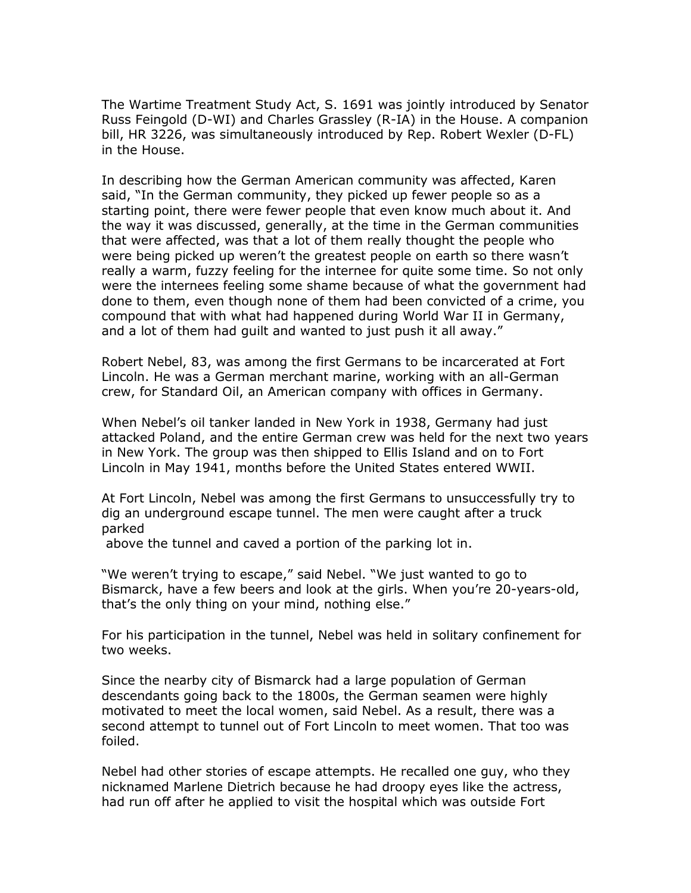The Wartime Treatment Study Act, S. 1691 was jointly introduced by Senator Russ Feingold (D-WI) and Charles Grassley (R-IA) in the House. A companion bill, HR 3226, was simultaneously introduced by Rep. Robert Wexler (D-FL) in the House.

In describing how the German American community was affected, Karen said, "In the German community, they picked up fewer people so as a starting point, there were fewer people that even know much about it. And the way it was discussed, generally, at the time in the German communities that were affected, was that a lot of them really thought the people who were being picked up weren't the greatest people on earth so there wasn't really a warm, fuzzy feeling for the internee for quite some time. So not only were the internees feeling some shame because of what the government had done to them, even though none of them had been convicted of a crime, you compound that with what had happened during World War II in Germany, and a lot of them had guilt and wanted to just push it all away."

Robert Nebel, 83, was among the first Germans to be incarcerated at Fort Lincoln. He was a German merchant marine, working with an all-German crew, for Standard Oil, an American company with offices in Germany.

When Nebel's oil tanker landed in New York in 1938, Germany had just attacked Poland, and the entire German crew was held for the next two years in New York. The group was then shipped to Ellis Island and on to Fort Lincoln in May 1941, months before the United States entered WWII.

At Fort Lincoln, Nebel was among the first Germans to unsuccessfully try to dig an underground escape tunnel. The men were caught after a truck parked

above the tunnel and caved a portion of the parking lot in.

"We weren't trying to escape," said Nebel. "We just wanted to go to Bismarck, have a few beers and look at the girls. When you're 20-years-old, that's the only thing on your mind, nothing else."

For his participation in the tunnel, Nebel was held in solitary confinement for two weeks.

Since the nearby city of Bismarck had a large population of German descendants going back to the 1800s, the German seamen were highly motivated to meet the local women, said Nebel. As a result, there was a second attempt to tunnel out of Fort Lincoln to meet women. That too was foiled.

Nebel had other stories of escape attempts. He recalled one guy, who they nicknamed Marlene Dietrich because he had droopy eyes like the actress, had run off after he applied to visit the hospital which was outside Fort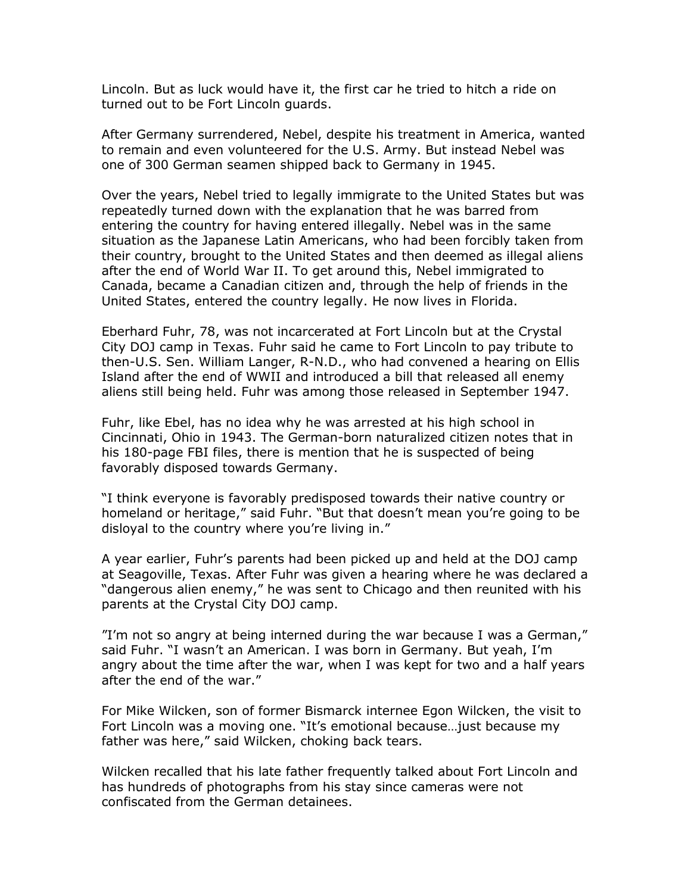Lincoln. But as luck would have it, the first car he tried to hitch a ride on turned out to be Fort Lincoln guards.

After Germany surrendered, Nebel, despite his treatment in America, wanted to remain and even volunteered for the U.S. Army. But instead Nebel was one of 300 German seamen shipped back to Germany in 1945.

Over the years, Nebel tried to legally immigrate to the United States but was repeatedly turned down with the explanation that he was barred from entering the country for having entered illegally. Nebel was in the same situation as the Japanese Latin Americans, who had been forcibly taken from their country, brought to the United States and then deemed as illegal aliens after the end of World War II. To get around this, Nebel immigrated to Canada, became a Canadian citizen and, through the help of friends in the United States, entered the country legally. He now lives in Florida.

Eberhard Fuhr, 78, was not incarcerated at Fort Lincoln but at the Crystal City DOJ camp in Texas. Fuhr said he came to Fort Lincoln to pay tribute to then-U.S. Sen. William Langer, R-N.D., who had convened a hearing on Ellis Island after the end of WWII and introduced a bill that released all enemy aliens still being held. Fuhr was among those released in September 1947.

Fuhr, like Ebel, has no idea why he was arrested at his high school in Cincinnati, Ohio in 1943. The German-born naturalized citizen notes that in his 180-page FBI files, there is mention that he is suspected of being favorably disposed towards Germany.

"I think everyone is favorably predisposed towards their native country or homeland or heritage," said Fuhr. "But that doesn't mean you're going to be disloyal to the country where you're living in."

A year earlier, Fuhr's parents had been picked up and held at the DOJ camp at Seagoville, Texas. After Fuhr was given a hearing where he was declared a "dangerous alien enemy," he was sent to Chicago and then reunited with his parents at the Crystal City DOJ camp.

"I'm not so angry at being interned during the war because I was a German," said Fuhr. "I wasn't an American. I was born in Germany. But yeah, I'm angry about the time after the war, when I was kept for two and a half years after the end of the war."

For Mike Wilcken, son of former Bismarck internee Egon Wilcken, the visit to Fort Lincoln was a moving one. "It's emotional because…just because my father was here," said Wilcken, choking back tears.

Wilcken recalled that his late father frequently talked about Fort Lincoln and has hundreds of photographs from his stay since cameras were not confiscated from the German detainees.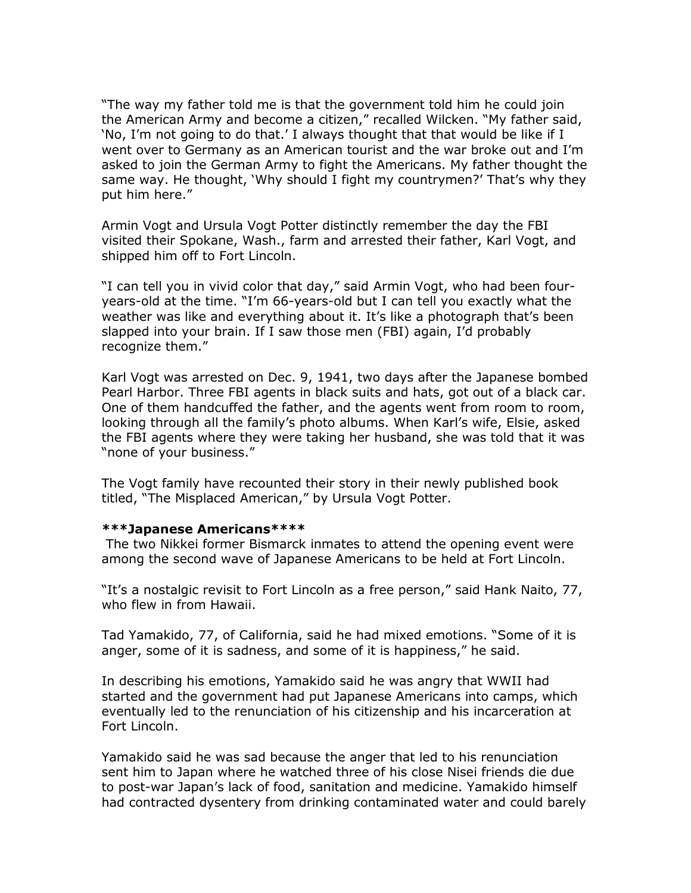"The way my father told me is that the government told him he could join the American Army and become a citizen," recalled Wilcken. "My father said, 'No, I'm not going to do that.' I always thought that that would be like if I went over to Germany as an American tourist and the war broke out and I'm asked to join the German Army to fight the Americans. My father thought the same way. He thought, 'Why should I fight my countrymen?' That's why they put him here."

Armin Vogt and Ursula Vogt Potter distinctly remember the day the FBI visited their Spokane, Wash., farm and arrested their father, Karl Vogt, and shipped him off to Fort Lincoln.

"I can tell you in vivid color that day," said Armin Vogt, who had been fouryears-old at the time. "I'm 66-years-old but I can tell you exactly what the weather was like and everything about it. It's like a photograph that's been slapped into your brain. If I saw those men (FBI) again, I'd probably recognize them."

Karl Vogt was arrested on Dec. 9, 1941, two days after the Japanese bombed Pearl Harbor. Three FBI agents in black suits and hats, got out of a black car. One of them handcuffed the father, and the agents went from room to room, looking through all the family's photo albums. When Karl's wife, Elsie, asked the FBI agents where they were taking her husband, she was told that it was "none of your business."

The Vogt family have recounted their story in their newly published book titled, "The Misplaced American," by Ursula Vogt Potter.

## **\*\*\*Japanese Americans\*\*\*\***

 The two Nikkei former Bismarck inmates to attend the opening event were among the second wave of Japanese Americans to be held at Fort Lincoln.

"It's a nostalgic revisit to Fort Lincoln as a free person," said Hank Naito, 77, who flew in from Hawaii.

Tad Yamakido, 77, of California, said he had mixed emotions. "Some of it is anger, some of it is sadness, and some of it is happiness," he said.

In describing his emotions, Yamakido said he was angry that WWII had started and the government had put Japanese Americans into camps, which eventually led to the renunciation of his citizenship and his incarceration at Fort Lincoln.

Yamakido said he was sad because the anger that led to his renunciation sent him to Japan where he watched three of his close Nisei friends die due to post-war Japan's lack of food, sanitation and medicine. Yamakido himself had contracted dysentery from drinking contaminated water and could barely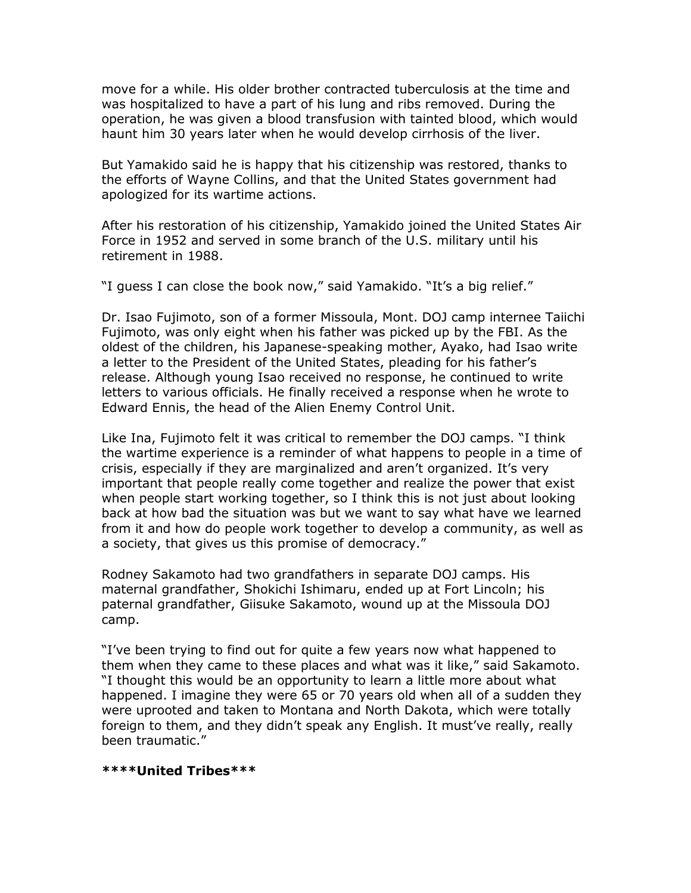move for a while. His older brother contracted tuberculosis at the time and was hospitalized to have a part of his lung and ribs removed. During the operation, he was given a blood transfusion with tainted blood, which would haunt him 30 years later when he would develop cirrhosis of the liver.

But Yamakido said he is happy that his citizenship was restored, thanks to the efforts of Wayne Collins, and that the United States government had apologized for its wartime actions.

After his restoration of his citizenship, Yamakido joined the United States Air Force in 1952 and served in some branch of the U.S. military until his retirement in 1988.

"I guess I can close the book now," said Yamakido. "It's a big relief."

Dr. Isao Fujimoto, son of a former Missoula, Mont. DOJ camp internee Taiichi Fujimoto, was only eight when his father was picked up by the FBI. As the oldest of the children, his Japanese-speaking mother, Ayako, had Isao write a letter to the President of the United States, pleading for his father's release. Although young Isao received no response, he continued to write letters to various officials. He finally received a response when he wrote to Edward Ennis, the head of the Alien Enemy Control Unit.

Like Ina, Fujimoto felt it was critical to remember the DOJ camps. "I think the wartime experience is a reminder of what happens to people in a time of crisis, especially if they are marginalized and aren't organized. It's very important that people really come together and realize the power that exist when people start working together, so I think this is not just about looking back at how bad the situation was but we want to say what have we learned from it and how do people work together to develop a community, as well as a society, that gives us this promise of democracy."

Rodney Sakamoto had two grandfathers in separate DOJ camps. His maternal grandfather, Shokichi Ishimaru, ended up at Fort Lincoln; his paternal grandfather, Giisuke Sakamoto, wound up at the Missoula DOJ camp.

"I've been trying to find out for quite a few years now what happened to them when they came to these places and what was it like," said Sakamoto. "I thought this would be an opportunity to learn a little more about what happened. I imagine they were 65 or 70 years old when all of a sudden they were uprooted and taken to Montana and North Dakota, which were totally foreign to them, and they didn't speak any English. It must've really, really been traumatic."

## **\*\*\*\*United Tribes\*\*\***